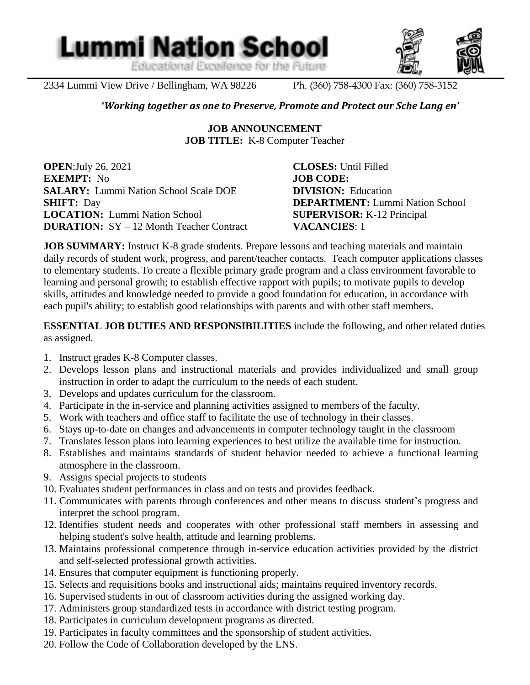Educational Excellence for the Future

**Lummi Nation School** 



2334 Lummi View Drive / Bellingham, WA 98226 Ph. (360) 758-4300 Fax: (360) 758-3152

l

#### **'***Working together as one to Preserve, Promote and Protect our Sche Lang en'*

**JOB ANNOUNCEMENT JOB TITLE:** K-8 Computer Teacher

**OPEN**:July 26, 2021 **CLOSES:** Until Filled **EXEMPT:** No **JOB CODE: SALARY:** Lummi Nation School Scale DOE **DIVISION:** Education **SHIFT:** Day **DEPARTMENT:** Lummi Nation School **LOCATION:** Lummi Nation School **SUPERVISOR:** K-12 Principal **DURATION:** SY – 12 Month Teacher Contract **VACANCIES**: 1

**JOB SUMMARY:** Instruct K-8 grade students. Prepare lessons and teaching materials and maintain daily records of student work, progress, and parent/teacher contacts. Teach computer applications classes to elementary students. To create a flexible primary grade program and a class environment favorable to learning and personal growth; to establish effective rapport with pupils; to motivate pupils to develop skills, attitudes and knowledge needed to provide a good foundation for education, in accordance with each pupil's ability; to establish good relationships with parents and with other staff members.

**ESSENTIAL JOB DUTIES AND RESPONSIBILITIES** include the following, and other related duties as assigned.

- 1. Instruct grades K-8 Computer classes.
- 2. Develops lesson plans and instructional materials and provides individualized and small group instruction in order to adapt the curriculum to the needs of each student.
- 3. Develops and updates curriculum for the classroom.
- 4. Participate in the in-service and planning activities assigned to members of the faculty.
- 5. Work with teachers and office staff to facilitate the use of technology in their classes.
- 6. Stays up-to-date on changes and advancements in computer technology taught in the classroom
- 7. Translates lesson plans into learning experiences to best utilize the available time for instruction.
- 8. Establishes and maintains standards of student behavior needed to achieve a functional learning atmosphere in the classroom.
- 9. Assigns special projects to students
- 10. Evaluates student performances in class and on tests and provides feedback.
- 11. Communicates with parents through conferences and other means to discuss student's progress and interpret the school program.
- 12. Identifies student needs and cooperates with other professional staff members in assessing and helping student's solve health, attitude and learning problems.
- 13. Maintains professional competence through in-service education activities provided by the district and self-selected professional growth activities.
- 14. Ensures that computer equipment is functioning properly.
- 15. Selects and requisitions books and instructional aids; maintains required inventory records.
- 16. Supervised students in out of classroom activities during the assigned working day.
- 17. Administers group standardized tests in accordance with district testing program.
- 18. Participates in curriculum development programs as directed.
- 19. Participates in faculty committees and the sponsorship of student activities.
- 20. Follow the Code of Collaboration developed by the LNS.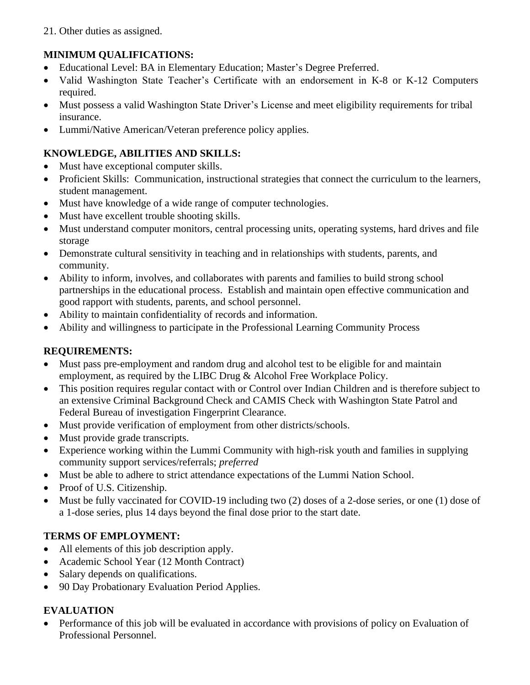21. Other duties as assigned.

## **MINIMUM QUALIFICATIONS:**

- Educational Level: BA in Elementary Education; Master's Degree Preferred.
- Valid Washington State Teacher's Certificate with an endorsement in K-8 or K-12 Computers required.
- Must possess a valid Washington State Driver's License and meet eligibility requirements for tribal insurance.
- Lummi/Native American/Veteran preference policy applies.

## **KNOWLEDGE, ABILITIES AND SKILLS:**

- Must have exceptional computer skills.
- Proficient Skills: Communication, instructional strategies that connect the curriculum to the learners, student management.
- Must have knowledge of a wide range of computer technologies.
- Must have excellent trouble shooting skills.
- Must understand computer monitors, central processing units, operating systems, hard drives and file storage
- Demonstrate cultural sensitivity in teaching and in relationships with students, parents, and community.
- Ability to inform, involves, and collaborates with parents and families to build strong school partnerships in the educational process. Establish and maintain open effective communication and good rapport with students, parents, and school personnel.
- Ability to maintain confidentiality of records and information.
- Ability and willingness to participate in the Professional Learning Community Process

## **REQUIREMENTS:**

- Must pass pre-employment and random drug and alcohol test to be eligible for and maintain employment, as required by the LIBC Drug & Alcohol Free Workplace Policy.
- This position requires regular contact with or Control over Indian Children and is therefore subject to an extensive Criminal Background Check and CAMIS Check with Washington State Patrol and Federal Bureau of investigation Fingerprint Clearance.
- Must provide verification of employment from other districts/schools.
- Must provide grade transcripts.
- Experience working within the Lummi Community with high-risk youth and families in supplying community support services/referrals; *preferred*
- Must be able to adhere to strict attendance expectations of the Lummi Nation School.
- Proof of U.S. Citizenship.
- Must be fully vaccinated for COVID-19 including two (2) doses of a 2-dose series, or one (1) dose of a 1-dose series, plus 14 days beyond the final dose prior to the start date.

# **TERMS OF EMPLOYMENT:**

- All elements of this job description apply.
- Academic School Year (12 Month Contract)
- Salary depends on qualifications.
- 90 Day Probationary Evaluation Period Applies.

# **EVALUATION**

• Performance of this job will be evaluated in accordance with provisions of policy on Evaluation of Professional Personnel.